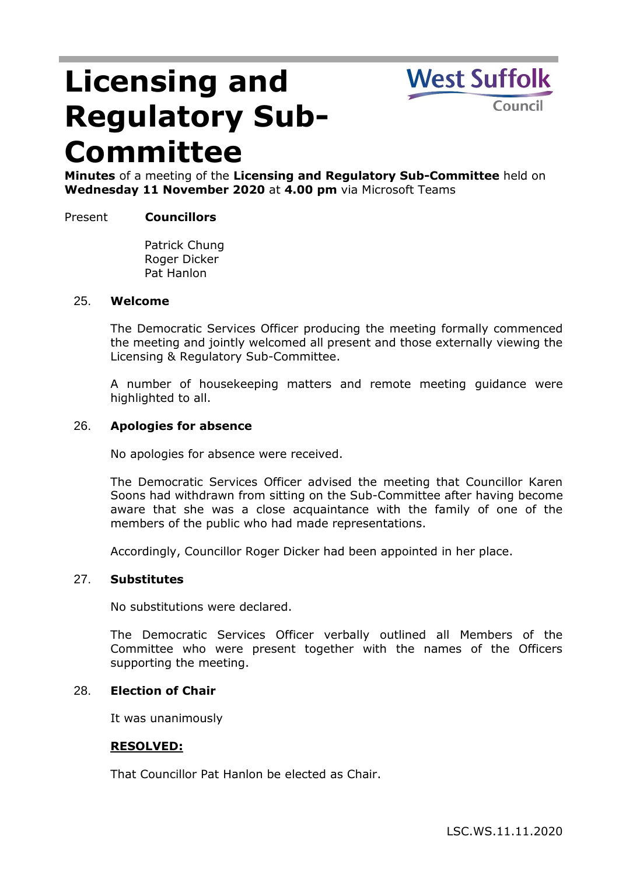# **Licensing and Regulatory Sub-Committee**

**West Suffolk** Council

**Minutes** of a meeting of the **Licensing and Regulatory Sub-Committee** held on **Wednesday 11 November 2020** at **4.00 pm** via Microsoft Teams

# Present **Councillors**

Patrick Chung Roger Dicker Pat Hanlon

#### 25. **Welcome**

The Democratic Services Officer producing the meeting formally commenced the meeting and jointly welcomed all present and those externally viewing the Licensing & Regulatory Sub-Committee.

A number of housekeeping matters and remote meeting guidance were highlighted to all.

## 26. **Apologies for absence**

No apologies for absence were received.

The Democratic Services Officer advised the meeting that Councillor Karen Soons had withdrawn from sitting on the Sub-Committee after having become aware that she was a close acquaintance with the family of one of the members of the public who had made representations.

Accordingly, Councillor Roger Dicker had been appointed in her place.

#### 27. **Substitutes**

No substitutions were declared.

The Democratic Services Officer verbally outlined all Members of the Committee who were present together with the names of the Officers supporting the meeting.

## 28. **Election of Chair**

It was unanimously

## **RESOLVED:**

That Councillor Pat Hanlon be elected as Chair.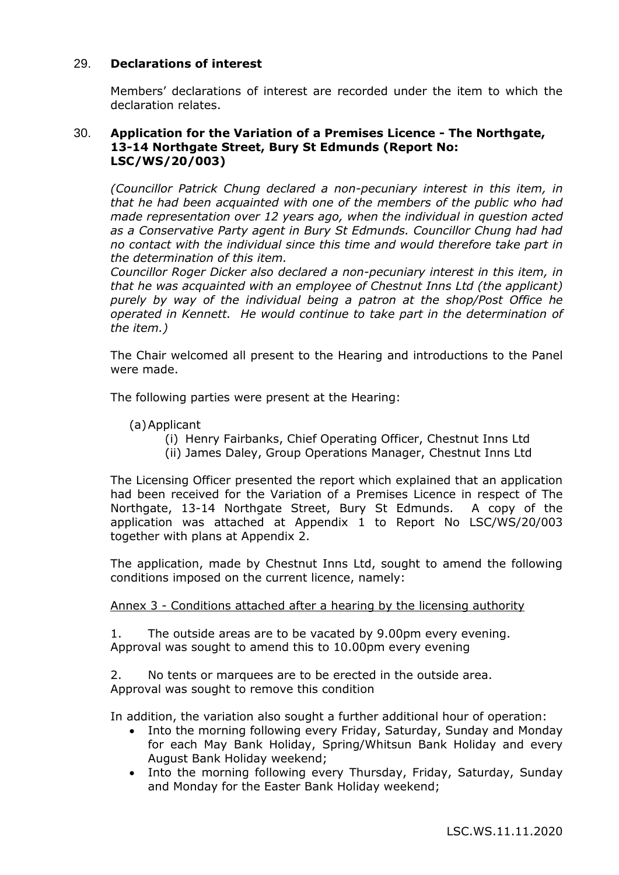## 29. **Declarations of interest**

Members' declarations of interest are recorded under the item to which the declaration relates.

# 30. **Application for the Variation of a Premises Licence - The Northgate, 13-14 Northgate Street, Bury St Edmunds (Report No: LSC/WS/20/003)**

*(Councillor Patrick Chung declared a non-pecuniary interest in this item, in that he had been acquainted with one of the members of the public who had made representation over 12 years ago, when the individual in question acted as a Conservative Party agent in Bury St Edmunds. Councillor Chung had had no contact with the individual since this time and would therefore take part in the determination of this item.*

*Councillor Roger Dicker also declared a non-pecuniary interest in this item, in that he was acquainted with an employee of Chestnut Inns Ltd (the applicant) purely by way of the individual being a patron at the shop/Post Office he operated in Kennett. He would continue to take part in the determination of the item.)*

The Chair welcomed all present to the Hearing and introductions to the Panel were made.

The following parties were present at the Hearing:

(a)Applicant

- (i) Henry Fairbanks, Chief Operating Officer, Chestnut Inns Ltd
- (ii) James Daley, Group Operations Manager, Chestnut Inns Ltd

The Licensing Officer presented the report which explained that an application had been received for the Variation of a Premises Licence in respect of The Northgate, 13-14 Northgate Street, Bury St Edmunds. A copy of the application was attached at Appendix 1 to Report No LSC/WS/20/003 together with plans at Appendix 2.

The application, made by Chestnut Inns Ltd, sought to amend the following conditions imposed on the current licence, namely:

## Annex 3 - Conditions attached after a hearing by the licensing authority

1. The outside areas are to be vacated by 9.00pm every evening. Approval was sought to amend this to 10.00pm every evening

2. No tents or marquees are to be erected in the outside area. Approval was sought to remove this condition

In addition, the variation also sought a further additional hour of operation:

- Into the morning following every Friday, Saturday, Sunday and Monday for each May Bank Holiday, Spring/Whitsun Bank Holiday and every August Bank Holiday weekend;
- Into the morning following every Thursday, Friday, Saturday, Sunday and Monday for the Easter Bank Holiday weekend;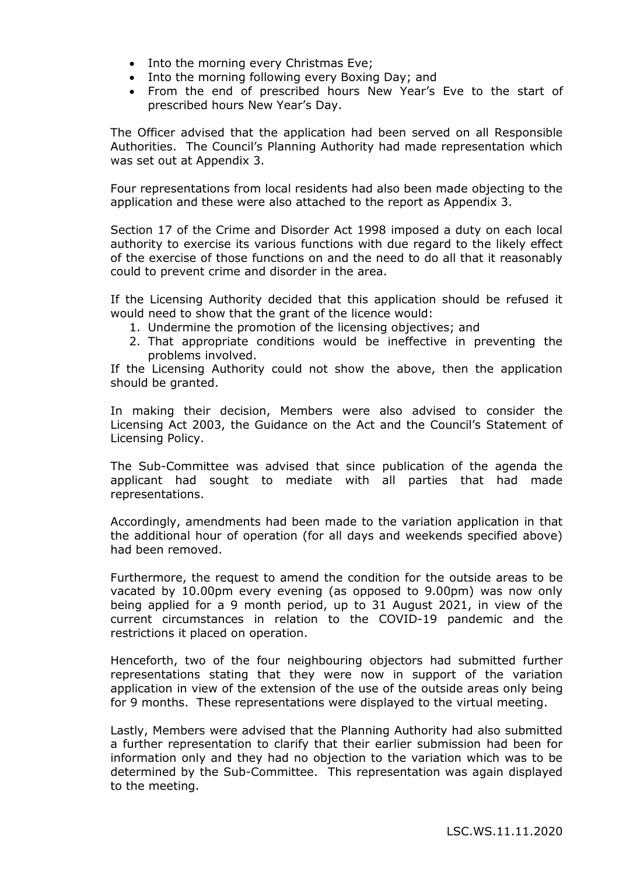- Into the morning every Christmas Eve;
- Into the morning following every Boxing Day; and
- From the end of prescribed hours New Year's Eve to the start of prescribed hours New Year's Day.

The Officer advised that the application had been served on all Responsible Authorities. The Council's Planning Authority had made representation which was set out at Appendix 3.

Four representations from local residents had also been made objecting to the application and these were also attached to the report as Appendix 3.

Section 17 of the Crime and Disorder Act 1998 imposed a duty on each local authority to exercise its various functions with due regard to the likely effect of the exercise of those functions on and the need to do all that it reasonably could to prevent crime and disorder in the area.

If the Licensing Authority decided that this application should be refused it would need to show that the grant of the licence would:

- 1. Undermine the promotion of the licensing objectives; and
- 2. That appropriate conditions would be ineffective in preventing the problems involved.

If the Licensing Authority could not show the above, then the application should be granted.

In making their decision, Members were also advised to consider the Licensing Act 2003, the Guidance on the Act and the Council's Statement of Licensing Policy.

The Sub-Committee was advised that since publication of the agenda the applicant had sought to mediate with all parties that had made representations.

Accordingly, amendments had been made to the variation application in that the additional hour of operation (for all days and weekends specified above) had been removed.

Furthermore, the request to amend the condition for the outside areas to be vacated by 10.00pm every evening (as opposed to 9.00pm) was now only being applied for a 9 month period, up to 31 August 2021, in view of the current circumstances in relation to the COVID-19 pandemic and the restrictions it placed on operation.

Henceforth, two of the four neighbouring objectors had submitted further representations stating that they were now in support of the variation application in view of the extension of the use of the outside areas only being for 9 months. These representations were displayed to the virtual meeting.

Lastly, Members were advised that the Planning Authority had also submitted a further representation to clarify that their earlier submission had been for information only and they had no objection to the variation which was to be determined by the Sub-Committee. This representation was again displayed to the meeting.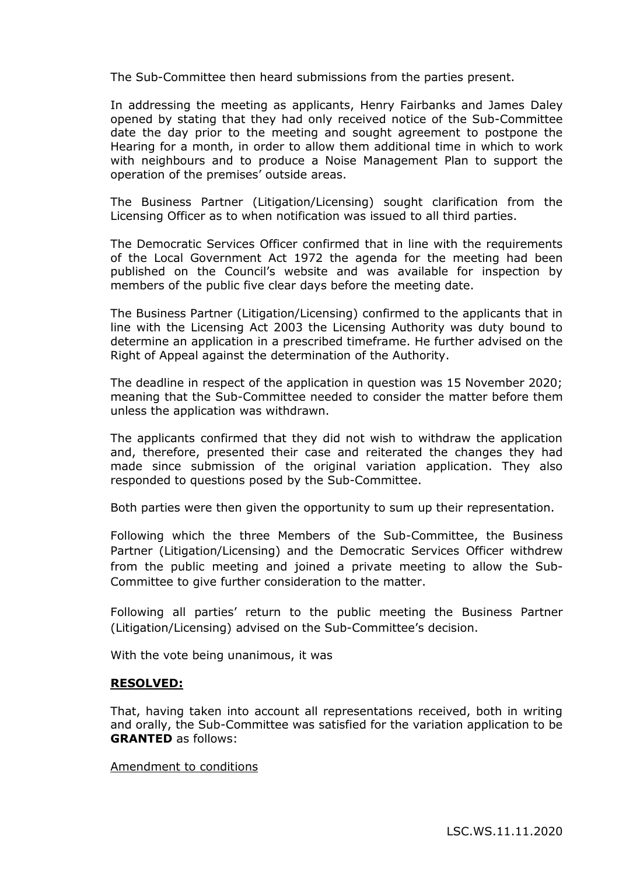The Sub-Committee then heard submissions from the parties present.

In addressing the meeting as applicants, Henry Fairbanks and James Daley opened by stating that they had only received notice of the Sub-Committee date the day prior to the meeting and sought agreement to postpone the Hearing for a month, in order to allow them additional time in which to work with neighbours and to produce a Noise Management Plan to support the operation of the premises' outside areas.

The Business Partner (Litigation/Licensing) sought clarification from the Licensing Officer as to when notification was issued to all third parties.

The Democratic Services Officer confirmed that in line with the requirements of the Local Government Act 1972 the agenda for the meeting had been published on the Council's website and was available for inspection by members of the public five clear days before the meeting date.

The Business Partner (Litigation/Licensing) confirmed to the applicants that in line with the Licensing Act 2003 the Licensing Authority was duty bound to determine an application in a prescribed timeframe. He further advised on the Right of Appeal against the determination of the Authority.

The deadline in respect of the application in question was 15 November 2020; meaning that the Sub-Committee needed to consider the matter before them unless the application was withdrawn.

The applicants confirmed that they did not wish to withdraw the application and, therefore, presented their case and reiterated the changes they had made since submission of the original variation application. They also responded to questions posed by the Sub-Committee.

Both parties were then given the opportunity to sum up their representation.

Following which the three Members of the Sub-Committee, the Business Partner (Litigation/Licensing) and the Democratic Services Officer withdrew from the public meeting and joined a private meeting to allow the Sub-Committee to give further consideration to the matter.

Following all parties' return to the public meeting the Business Partner (Litigation/Licensing) advised on the Sub-Committee's decision.

With the vote being unanimous, it was

#### **RESOLVED:**

That, having taken into account all representations received, both in writing and orally, the Sub-Committee was satisfied for the variation application to be **GRANTED** as follows:

#### Amendment to conditions